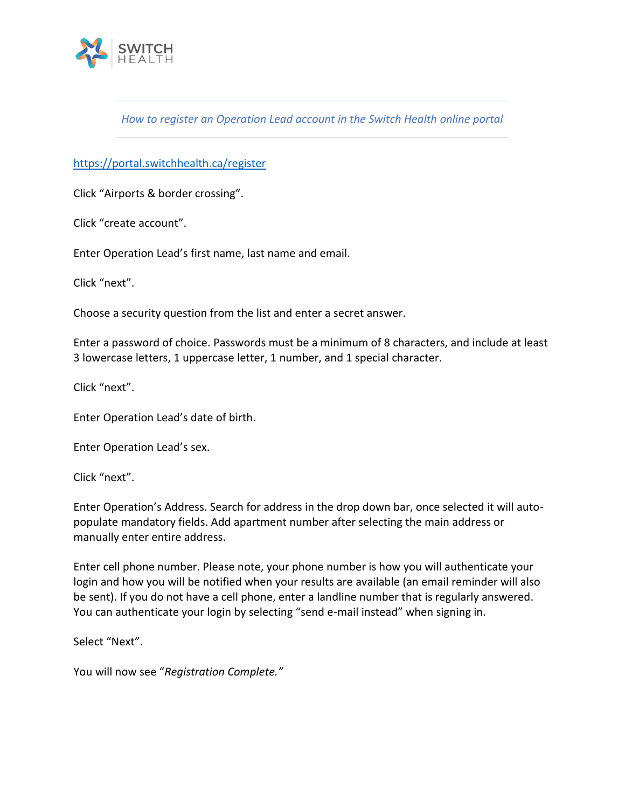

*How to register an Operation Lead account in the Switch Health online portal* 

<https://portal.switchhealth.ca/register>

Click "Airports & border crossing".

Click "create account".

Enter Operation Lead's first name, last name and email.

Click "next".

Choose a security question from the list and enter a secret answer.

Enter a password of choice. Passwords must be a minimum of 8 characters, and include at least 3 lowercase letters, 1 uppercase letter, 1 number, and 1 special character.

Click "next".

Enter Operation Lead's date of birth.

Enter Operation Lead's sex.

Click "next".

Enter Operation's Address. Search for address in the drop down bar, once selected it will autopopulate mandatory fields. Add apartment number after selecting the main address or manually enter entire address.

Enter cell phone number. Please note, your phone number is how you will authenticate your login and how you will be notified when your results are available (an email reminder will also be sent). If you do not have a cell phone, enter a landline number that is regularly answered. You can authenticate your login by selecting "send e-mail instead" when signing in.

Select "Next".

You will now see "*Registration Complete."*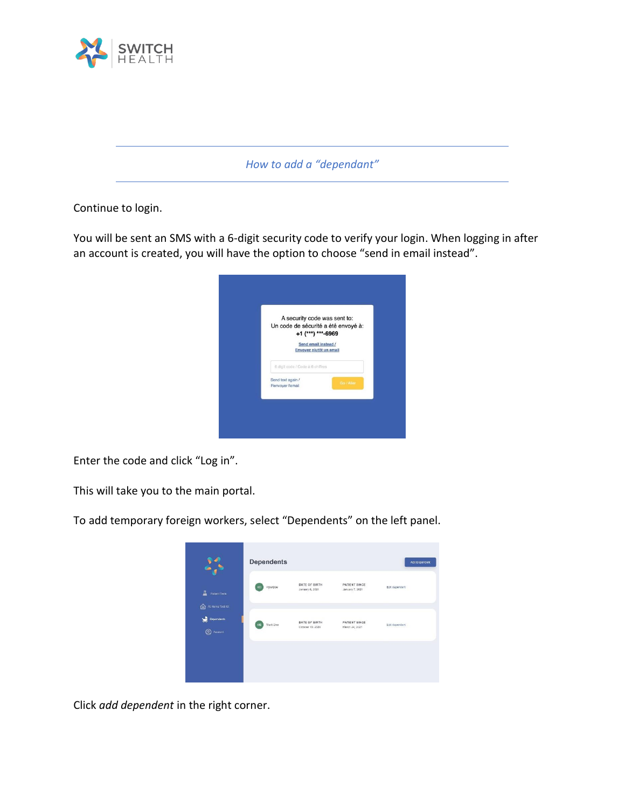

*How to add a "dependant"*

Continue to login.

You will be sent an SMS with a 6-digit security code to verify your login. When logging in after an account is created, you will have the option to choose "send in email instead".



Enter the code and click "Log in".

This will take you to the main portal.

To add temporary foreign workers, select "Dependents" on the left panel.



Click *add dependent* in the right corner.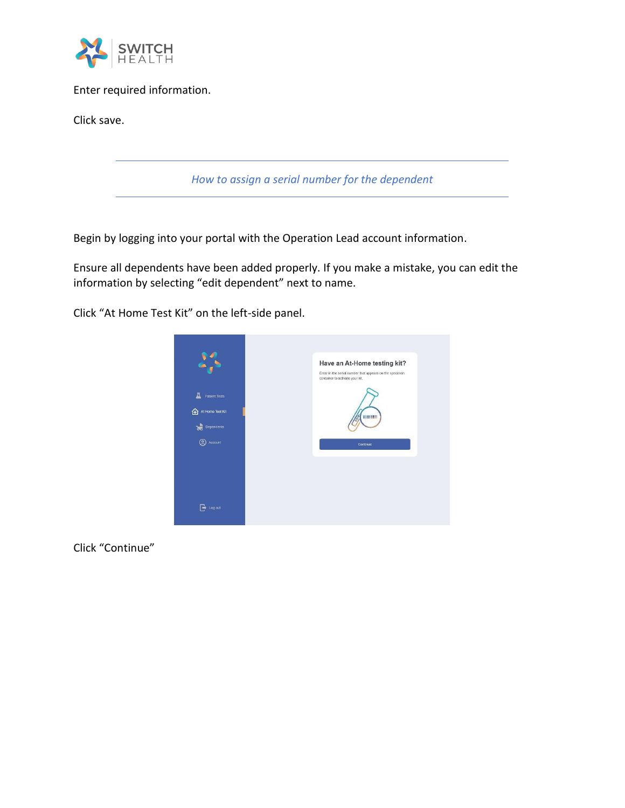

Enter required information.

Click save.

*How to assign a serial number for the dependent*

Begin by logging into your portal with the Operation Lead account information.

Ensure all dependents have been added properly. If you make a mistake, you can edit the information by selecting "edit dependent" next to name.

Click "At Home Test Kit" on the left-side panel.



Click "Continue"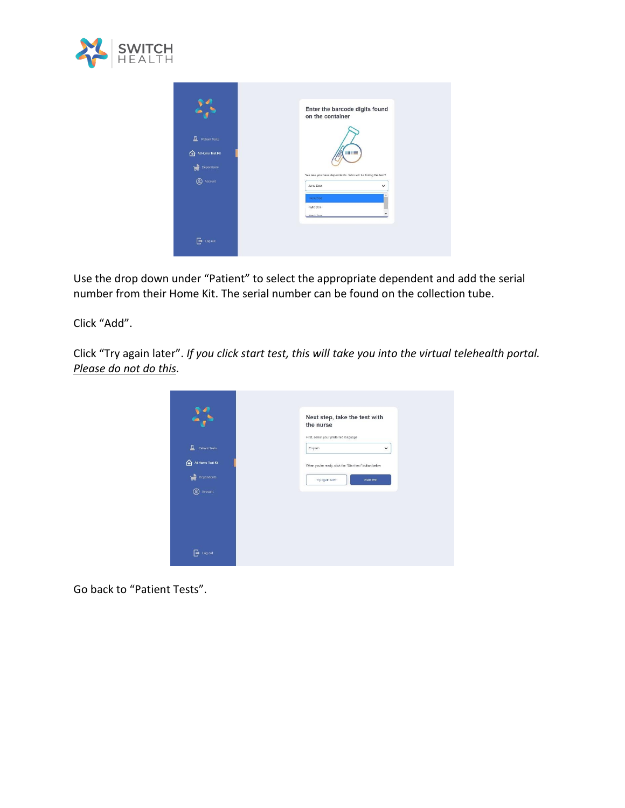

|                                            | Enter the barcode digits found<br>on the container                                   |  |
|--------------------------------------------|--------------------------------------------------------------------------------------|--|
| A<br>Patient Tests                         |                                                                                      |  |
| क़<br>At Home Test Kit<br>ਲੇ<br>Dependents | HILLER                                                                               |  |
| ౷<br>Account                               | We see you have dependents. Who will be taking the test?<br>Jane Doe<br>$\checkmark$ |  |
|                                            | Jane Doe<br>Kylo Doo                                                                 |  |
|                                            | <b>Mark Doo</b>                                                                      |  |
| Log out<br> →                              |                                                                                      |  |

Use the drop down under "Patient" to select the appropriate dependent and add the serial number from their Home Kit. The serial number can be found on the collection tube.

Click "Add".

Click "Try again later". *If you click start test, this will take you into the virtual telehealth portal. Please do not do this.* 



Go back to "Patient Tests".